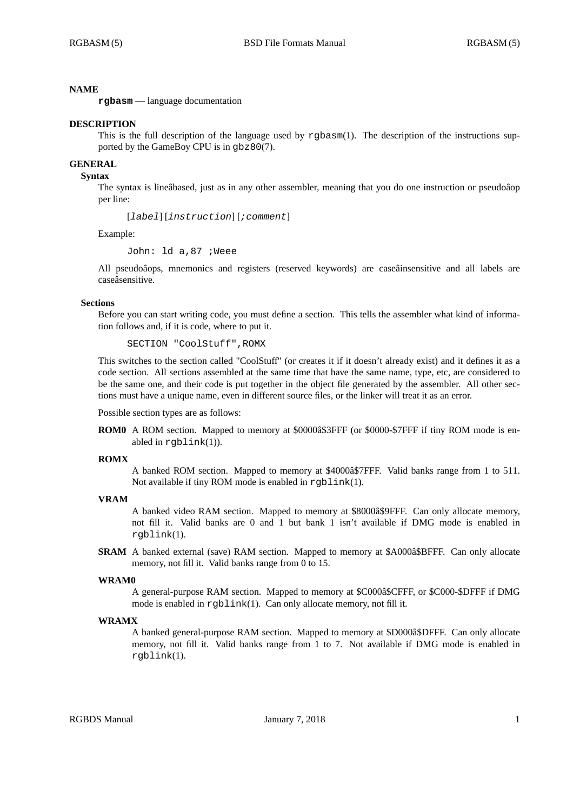### **NAME**

**rgbasm** — language documentation

### **DESCRIPTION**

This is the full description of the language used by rgbasm(1). The description of the instructions supported by the GameBoy CPU is in gbz80(7).

# **GENERAL**

### **Syntax**

The syntax is lineâbased, just as in any other assembler, meaning that you do one instruction or pseudoâop per line:

[*label*] [*instruction*] [*;comment*]

Example:

John: ld a,87 ;Weee

All pseudoâops, mnemonics and registers (reserved keywords) are caseâinsensitive and all labels are caseâsensitive.

### **Sections**

Before you can start writing code, you must define a section. This tells the assembler what kind of information follows and, if it is code, where to put it.

SECTION "CoolStuff",ROMX

This switches to the section called "CoolStuff" (or creates it if it doesn't already exist) and it defines it as a code section. All sections assembled at the same time that have the same name, type, etc, are considered to be the same one, and their code is put together in the object file generated by the assembler. All other sections must have a unique name, even in different source files, or the linker will treat it as an error.

Possible section types are as follows:

**ROM0** A ROM section. Mapped to memory at \$0000â\$3FFF (or \$0000-\$7FFF if tiny ROM mode is enabled in rgblink(1)).

#### **ROMX**

A banked ROM section. Mapped to memory at \$4000â\$7FFF. Valid banks range from 1 to 511. Not available if tiny ROM mode is enabled in  $rqblink(1)$ .

### **VRAM**

A banked video RAM section. Mapped to memory at \$8000â\$9FFF. Can only allocate memory, not fill it. Valid banks are 0 and 1 but bank 1 isn't available if DMG mode is enabled in rgblink(1).

**SRAM** A banked external (save) RAM section. Mapped to memory at \$A000â\$BFFF. Can only allocate memory, not fill it. Valid banks range from 0 to 15.

#### **WRAM0**

A general-purpose RAM section. Mapped to memory at \$C000â\$CFFF, or \$C000-\$DFFF if DMG mode is enabled in rgblink(1). Can only allocate memory, not fill it.

### **WRAMX**

A banked general-purpose RAM section. Mapped to memory at \$D000â\$DFFF. Can only allocate memory, not fill it. Valid banks range from 1 to 7. Not available if DMG mode is enabled in rgblink(1).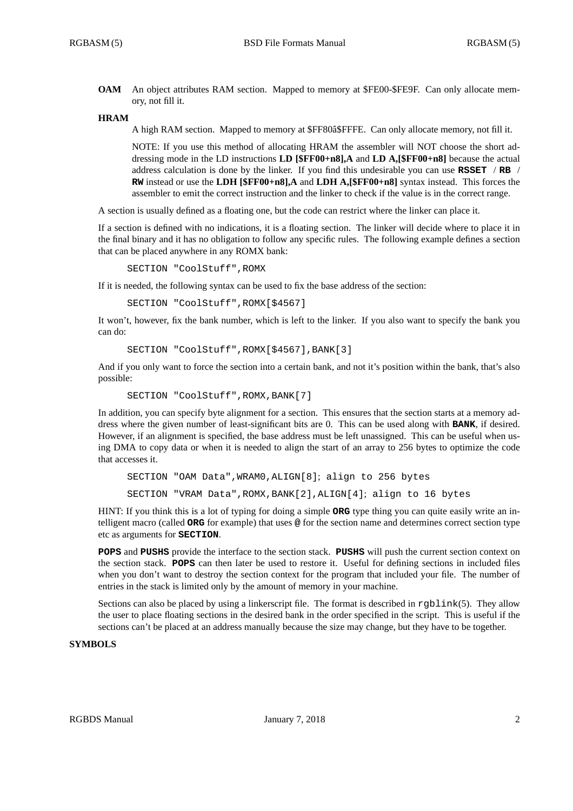**OAM** An object attributes RAM section. Mapped to memory at \$FE00-\$FE9F. Can only allocate memory, not fill it.

### **HRAM**

A high RAM section. Mapped to memory at \$FF80â\$FFFE. Can only allocate memory, not fill it.

NOTE: If you use this method of allocating HRAM the assembler will NOT choose the short addressing mode in the LD instructions **LD [\$FF00+n8],A** and **LD A,[\$FF00+n8]** because the actual address calculation is done by the linker. If you find this undesirable you can use **RSSET** / **RB** / **RW** instead or use the **LDH [\$FF00+n8],A** and **LDH A,[\$FF00+n8]** syntax instead. This forces the assembler to emit the correct instruction and the linker to check if the value is in the correct range.

A section is usually defined as a floating one, but the code can restrict where the linker can place it.

If a section is defined with no indications, it is a floating section. The linker will decide where to place it in the final binary and it has no obligation to follow any specific rules. The following example defines a section that can be placed anywhere in any ROMX bank:

SECTION "CoolStuff",ROMX

If it is needed, the following syntax can be used to fix the base address of the section:

SECTION "CoolStuff",ROMX[\$4567]

It won't, however, fix the bank number, which is left to the linker. If you also want to specify the bank you can do:

```
SECTION "CoolStuff",ROMX[$4567],BANK[3]
```
And if you only want to force the section into a certain bank, and not it's position within the bank, that's also possible:

```
SECTION "CoolStuff", ROMX, BANK[7]
```
In addition, you can specify byte alignment for a section. This ensures that the section starts at a memory address where the given number of least-significant bits are 0. This can be used along with **BANK**, if desired. However, if an alignment is specified, the base address must be left unassigned. This can be useful when using DMA to copy data or when it is needed to align the start of an array to 256 bytes to optimize the code that accesses it.

```
SECTION "OAM Data",WRAM0,ALIGN[8]; align to 256 bytes
SECTION "VRAM Data",ROMX,BANK[2],ALIGN[4]; align to 16 bytes
```
HINT: If you think this is a lot of typing for doing a simple **ORG** type thing you can quite easily write an intelligent macro (called **ORG** for example) that uses **@** for the section name and determines correct section type etc as arguments for **SECTION**.

**POPS** and **PUSHS** provide the interface to the section stack. **PUSHS** will push the current section context on the section stack. **POPS** can then later be used to restore it. Useful for defining sections in included files when you don't want to destroy the section context for the program that included your file. The number of entries in the stack is limited only by the amount of memory in your machine.

Sections can also be placed by using a linkerscript file. The format is described in rgblink(5). They allow the user to place floating sections in the desired bank in the order specified in the script. This is useful if the sections can't be placed at an address manually because the size may change, but they have to be together.

## **SYMBOLS**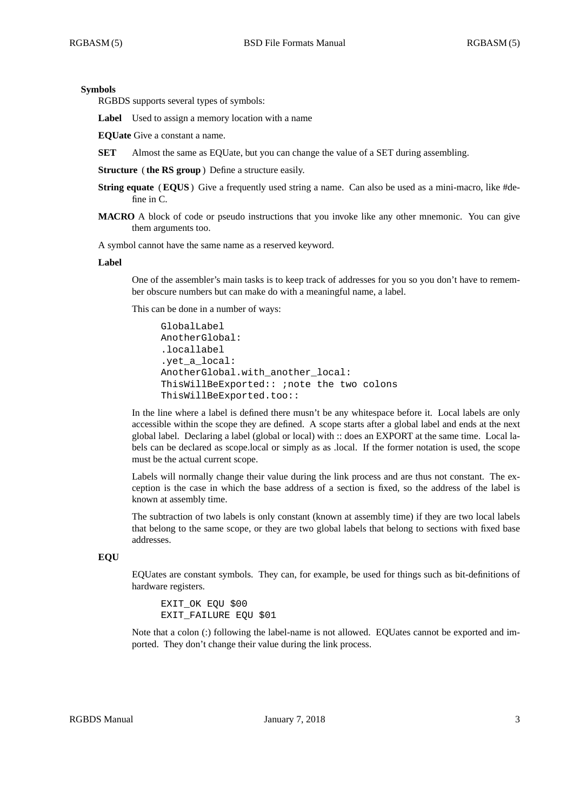### **Symbols**

RGBDS supports several types of symbols:

Label Used to assign a memory location with a name

**EQUate** Give a constant a name.

**SET** Almost the same as EQUate, but you can change the value of a SET during assembling.

**Structure** ( **the RS group**) Define a structure easily.

- **String equate** (**EQUS**) Give a frequently used string a name. Can also be used as a mini-macro, like #define in C.
- **MACRO** A block of code or pseudo instructions that you invoke like any other mnemonic. You can give them arguments too.

A symbol cannot have the same name as a reserved keyword.

#### **Label**

One of the assembler's main tasks is to keep track of addresses for you so you don't have to remember obscure numbers but can make do with a meaningful name, a label.

This can be done in a number of ways:

```
GlobalLabel
AnotherGlobal:
.locallabel
.yet_a_local:
AnotherGlobal.with_another_local:
ThisWillBeExported:: ;note the two colons
ThisWillBeExported.too::
```
In the line where a label is defined there musn't be any whitespace before it. Local labels are only accessible within the scope they are defined. A scope starts after a global label and ends at the next global label. Declaring a label (global or local) with :: does an EXPORT at the same time. Local labels can be declared as scope.local or simply as as .local. If the former notation is used, the scope must be the actual current scope.

Labels will normally change their value during the link process and are thus not constant. The exception is the case in which the base address of a section is fixed, so the address of the label is known at assembly time.

The subtraction of two labels is only constant (known at assembly time) if they are two local labels that belong to the same scope, or they are two global labels that belong to sections with fixed base addresses.

## **EQU**

EQUates are constant symbols. They can, for example, be used for things such as bit-definitions of hardware registers.

EXIT\_OK EQU \$00 EXIT FAILURE EQU \$01

Note that a colon (:) following the label-name is not allowed. EQUates cannot be exported and imported. They don't change their value during the link process.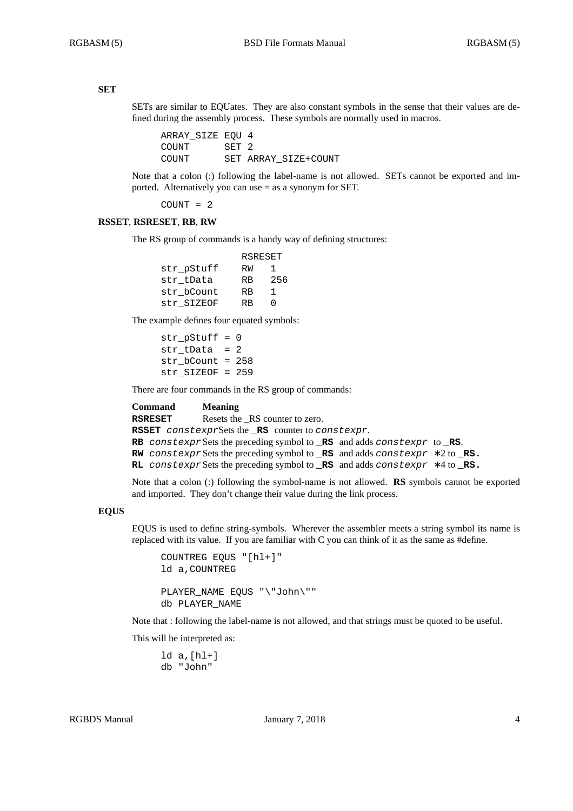### **SET**

SETs are similar to EQUates. They are also constant symbols in the sense that their values are defined during the assembly process. These symbols are normally used in macros.

ARRAY\_SIZE EQU 4 COUNT SET 2 COUNT SET ARRAY\_SIZE+COUNT

Note that a colon (:) following the label-name is not allowed. SETs cannot be exported and imported. Alternatively you can use = as a synonym for SET.

COUNT = 2

### **RSSET**, **RSRESET**, **RB**, **RW**

The RS group of commands is a handy way of defining structures:

|            | RSRESET   |     |
|------------|-----------|-----|
| str pStuff | RW        | ı.  |
| str tData  | <b>RB</b> | 256 |
| str bCount | <b>RB</b> | 1   |
| str SIZEOF | RR        | ∩   |

The example defines four equated symbols:

str  $pStuff = 0$ str  $tData = 2$ str\_bCount = 258 str\_SIZEOF = 259

There are four commands in the RS group of commands:

| Command | <b>Meaning</b>                                                                                    |
|---------|---------------------------------------------------------------------------------------------------|
| RSRESET | Resets the RS counter to zero.                                                                    |
|         | <b>RSSET</b> constexprSets the <b>RS</b> counter to constexpr.                                    |
|         | RB constexpr Sets the preceding symbol to RS and adds constexpr to RS.                            |
|         | <b>RW</b> constexpr Sets the preceding symbol to <b>RS</b> and adds constexpr $*2$ to <b>RS</b> . |
|         | <b>RL</b> constexpr Sets the preceding symbol to <b>RS</b> and adds constexpr $*4$ to <b>RS</b> . |
|         |                                                                                                   |

Note that a colon (:) following the symbol-name is not allowed. **RS** symbols cannot be exported and imported. They don't change their value during the link process.

### **EQUS**

EQUS is used to define string-symbols. Wherever the assembler meets a string symbol its name is replaced with its value. If you are familiar with C you can think of it as the same as #define.

```
COUNTREG EQUS "[hl+]"
ld a,COUNTREG
PLAYER_NAME EQUS "\"John\""
db PLAYER_NAME
```
Note that : following the label-name is not allowed, and that strings must be quoted to be useful.

This will be interpreted as:

ld a,[hl+] db "John"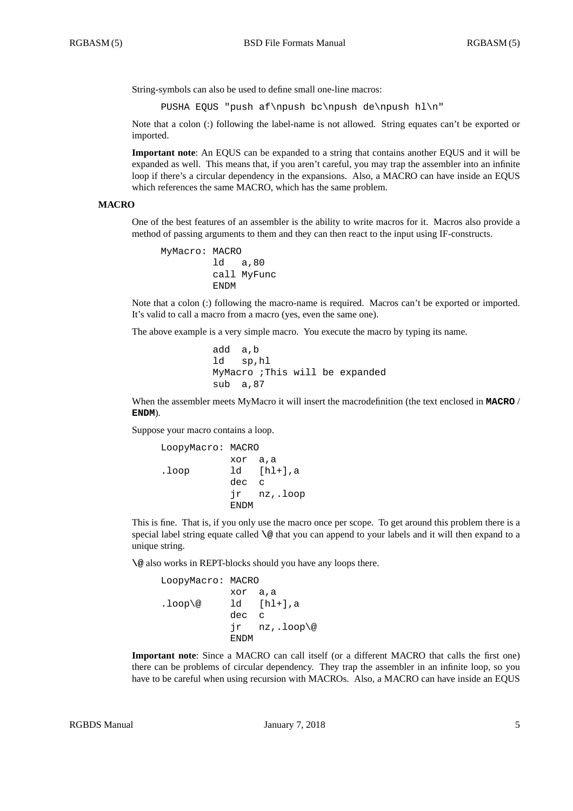String-symbols can also be used to define small one-line macros:

PUSHA EQUS "push af\npush bc\npush de\npush hl\n"

Note that a colon (:) following the label-name is not allowed. String equates can't be exported or imported.

**Important note**: An EQUS can be expanded to a string that contains another EQUS and it will be expanded as well. This means that, if you aren't careful, you may trap the assembler into an infinite loop if there's a circular dependency in the expansions. Also, a MACRO can have inside an EQUS which references the same MACRO, which has the same problem.

#### **MACRO**

One of the best features of an assembler is the ability to write macros for it. Macros also provide a method of passing arguments to them and they can then react to the input using IF-constructs.

```
MyMacro: MACRO
         ld a,80
        call MyFunc
         ENDM
```
Note that a colon (:) following the macro-name is required. Macros can't be exported or imported. It's valid to call a macro from a macro (yes, even the same one).

The above example is a very simple macro. You execute the macro by typing its name.

```
add a,b
ld sp,hl
MyMacro ;This will be expanded
sub a,87
```
When the assembler meets MyMacro it will insert the macrodefinition (the text enclosed in **MACRO** / **ENDM**).

Suppose your macro contains a loop.

```
LoopyMacro: MACRO
          xor a,a
.loop ld [hl+],a
          dec c
          jr nz,.loop
          ENDM
```
This is fine. That is, if you only use the macro once per scope. To get around this problem there is a special label string equate called **\@** that you can append to your labels and it will then expand to a unique string.

**\@** also works in REPT-blocks should you have any loops there.

```
LoopyMacro: MACRO
          xor a,a
lloop@ ld [hl+], a
          dec c
           jr nz,.loop\@
          ENDM
```
**Important note**: Since a MACRO can call itself (or a different MACRO that calls the first one) there can be problems of circular dependency. They trap the assembler in an infinite loop, so you have to be careful when using recursion with MACROs. Also, a MACRO can have inside an EQUS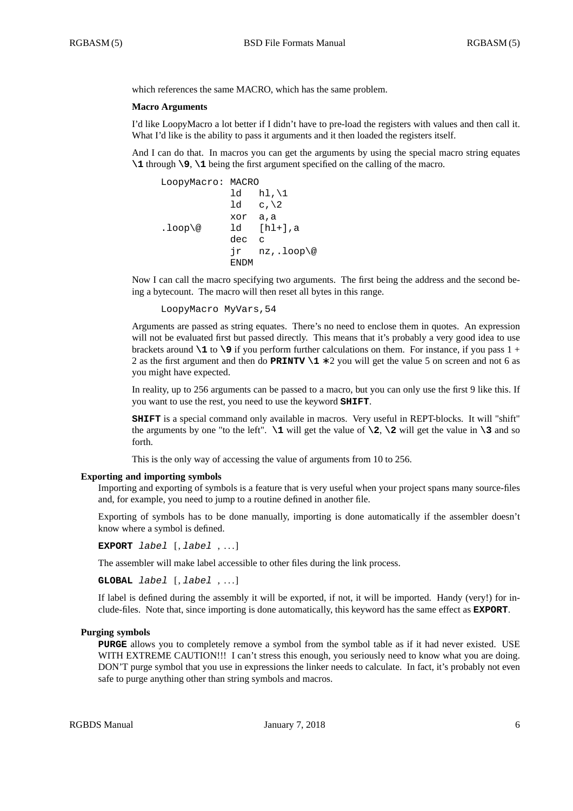which references the same MACRO, which has the same problem.

#### **Macro Arguments**

I'd like LoopyMacro a lot better if I didn't have to pre-load the registers with values and then call it. What I'd like is the ability to pass it arguments and it then loaded the registers itself.

And I can do that. In macros you can get the arguments by using the special macro string equates **\1** through **\9**, **\1** being the first argument specified on the calling of the macro.

```
LoopyMacro: MACRO
           ld hl, \1
           1d c, \lambdaxor a,a
.loop\@ ld [hl+],a
           dec c
           jr nz,.loop\@
           ENDM
```
Now I can call the macro specifying two arguments. The first being the address and the second being a bytecount. The macro will then reset all bytes in this range.

```
LoopyMacro MyVars,54
```
Arguments are passed as string equates. There's no need to enclose them in quotes. An expression will not be evaluated first but passed directly. This means that it's probably a very good idea to use brackets around **\1** to **\9** if you perform further calculations on them. For instance, if you pass 1 + 2 as the first argument and then do **PRINTV \1** ∗ 2 you will get the value 5 on screen and not 6 as you might have expected.

In reality, up to 256 arguments can be passed to a macro, but you can only use the first 9 like this. If you want to use the rest, you need to use the keyword **SHIFT**.

**SHIFT** is a special command only available in macros. Very useful in REPT-blocks. It will "shift" the arguments by one "to the left".  $\setminus$ 1 will get the value of  $\setminus$ 2,  $\setminus$ 2 will get the value in  $\setminus$ 3 and so forth.

This is the only way of accessing the value of arguments from 10 to 256.

#### **Exporting and importing symbols**

Importing and exporting of symbols is a feature that is very useful when your project spans many source-files and, for example, you need to jump to a routine defined in another file.

Exporting of symbols has to be done manually, importing is done automatically if the assembler doesn't know where a symbol is defined.

**EXPORT** *label* [, *label* , . . . ]

The assembler will make label accessible to other files during the link process.

**GLOBAL** *label* [, *label* , . . . ]

If label is defined during the assembly it will be exported, if not, it will be imported. Handy (very!) for include-files. Note that, since importing is done automatically, this keyword has the same effect as **EXPORT**.

#### **Purging symbols**

**PURGE** allows you to completely remove a symbol from the symbol table as if it had never existed. USE WITH EXTREME CAUTION!!! I can't stress this enough, you seriously need to know what you are doing. DON'T purge symbol that you use in expressions the linker needs to calculate. In fact, it's probably not even safe to purge anything other than string symbols and macros.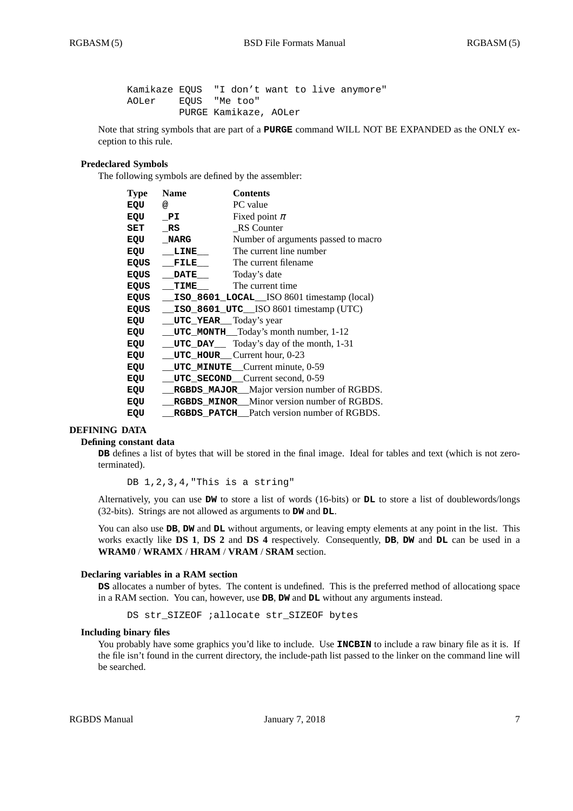Kamikaze EQUS "I don't want to live anymore" AOLer EQUS "Me too" PURGE Kamikaze, AOLer

Note that string symbols that are part of a **PURGE** command WILL NOT BE EXPANDED as the ONLY exception to this rule.

## **Predeclared Symbols**

The following symbols are defined by the assembler:

| <b>Type</b> | <b>Name</b>                          | <b>Contents</b>                                   |
|-------------|--------------------------------------|---------------------------------------------------|
| EQU         | @                                    | PC value                                          |
| EQU         | PI                                   | Fixed point $\pi$                                 |
| SET         | RS                                   | <b>RS</b> Counter                                 |
| EQU         | <b>NARG</b>                          | Number of arguments passed to macro               |
| EQU         | LINE                                 | The current line number                           |
| EQUS        | FILE                                 | The current filename                              |
| EQUS        | <b>DATE</b>                          | Today's date                                      |
| <b>EQUS</b> | TIME                                 | The current time                                  |
| <b>EQUS</b> |                                      | ISO_8601_LOCAL_ISO 8601 timestamp (local)         |
| EQUS        |                                      | ISO_8601_UTC__ISO 8601 timestamp (UTC)            |
| EQU         | <b>UTC_YEAR</b> Today's year         |                                                   |
| EQU         |                                      | __UTC_MONTH__Today's month number, 1-12           |
| EQU         |                                      | <b>UTC_DAY</b> Today's day of the month, 1-31     |
| EQU         | $UTC_HOUT$ HOUR Current hour, $0-23$ |                                                   |
| EQU         |                                      | UTC_MINUTE_Current minute, 0-59                   |
| EQU         |                                      | UTC_SECOND_Current second, 0-59                   |
| EQU         |                                      | RGBDS_MAJOR_Major version number of RGBDS.        |
| EQU         |                                      | <b>RGBDS MINOR</b> Minor version number of RGBDS. |
| EQU         |                                      | <b>RGBDS</b> PATCH Patch version number of RGBDS. |

### **DEFINING DATA**

#### **Defining constant data**

**DB** defines a list of bytes that will be stored in the final image. Ideal for tables and text (which is not zeroterminated).

DB 1, 2, 3, 4, "This is a string"

Alternatively, you can use **DW** to store a list of words (16-bits) or **DL** to store a list of doublewords/longs (32-bits). Strings are not allowed as arguments to **DW** and **DL**.

You can also use **DB**, **DW** and **DL** without arguments, or leaving empty elements at any point in the list. This works exactly like **DS 1**, **DS 2** and **DS 4** respectively. Consequently, **DB**, **DW** and **DL** can be used in a **WRAM0** / **WRAMX** / **HRAM** / **VRAM** / **SRAM** section.

#### **Declaring variables in a RAM section**

**DS** allocates a number of bytes. The content is undefined. This is the preferred method of allocationg space in a RAM section. You can, however, use **DB**, **DW** and **DL** without any arguments instead.

DS str\_SIZEOF ;allocate str\_SIZEOF bytes

### **Including binary files**

You probably have some graphics you'd like to include. Use **INCBIN** to include a raw binary file as it is. If the file isn't found in the current directory, the include-path list passed to the linker on the command line will be searched.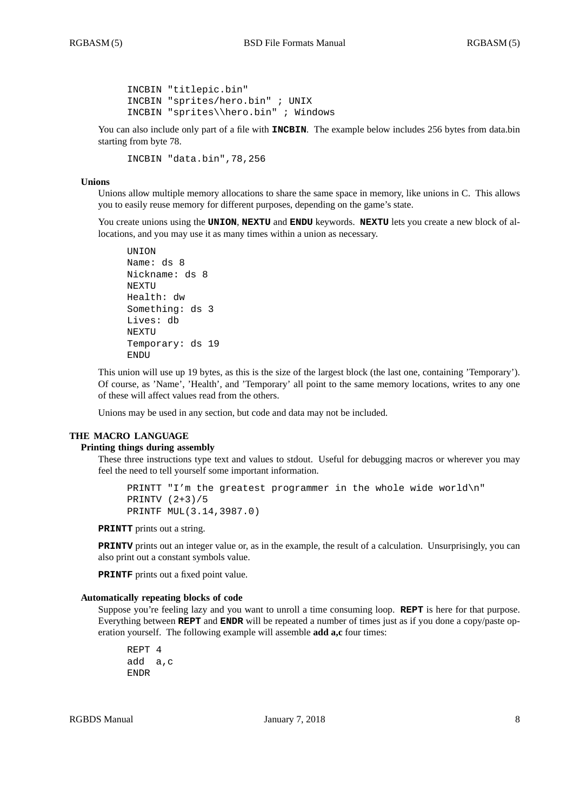```
INCBIN "titlepic.bin"
INCBIN "sprites/hero.bin" ; UNIX
INCBIN "sprites\\hero.bin" ; Windows
```
You can also include only part of a file with **INCBIN**. The example below includes 256 bytes from data.bin starting from byte 78.

INCBIN "data.bin",78,256

### **Unions**

Unions allow multiple memory allocations to share the same space in memory, like unions in C. This allows you to easily reuse memory for different purposes, depending on the game's state.

You create unions using the **UNION**, **NEXTU** and **ENDU** keywords. **NEXTU** lets you create a new block of allocations, and you may use it as many times within a union as necessary.

```
UNION
Name: ds 8
Nickname: ds 8
NEXTU
Health: dw
Something: ds 3
Lives: db
NEXTU
Temporary: ds 19
ENDU
```
This union will use up 19 bytes, as this is the size of the largest block (the last one, containing 'Temporary'). Of course, as 'Name', 'Health', and 'Temporary' all point to the same memory locations, writes to any one of these will affect values read from the others.

Unions may be used in any section, but code and data may not be included.

### **THE MACRO LANGUAGE**

## **Printing things during assembly**

These three instructions type text and values to stdout. Useful for debugging macros or wherever you may feel the need to tell yourself some important information.

```
PRINTT "I'm the greatest programmer in the whole wide world\n"
PRINTV (2+3)/5
PRINTF MUL(3.14,3987.0)
```
**PRINTT** prints out a string.

**PRINTV** prints out an integer value or, as in the example, the result of a calculation. Unsurprisingly, you can also print out a constant symbols value.

**PRINTF** prints out a fixed point value.

### **Automatically repeating blocks of code**

Suppose you're feeling lazy and you want to unroll a time consuming loop. **REPT** is here for that purpose. Everything between **REPT** and **ENDR** will be repeated a number of times just as if you done a copy/paste operation yourself. The following example will assemble **add a,c** four times:

```
REPT 4
add a,c
ENDR
```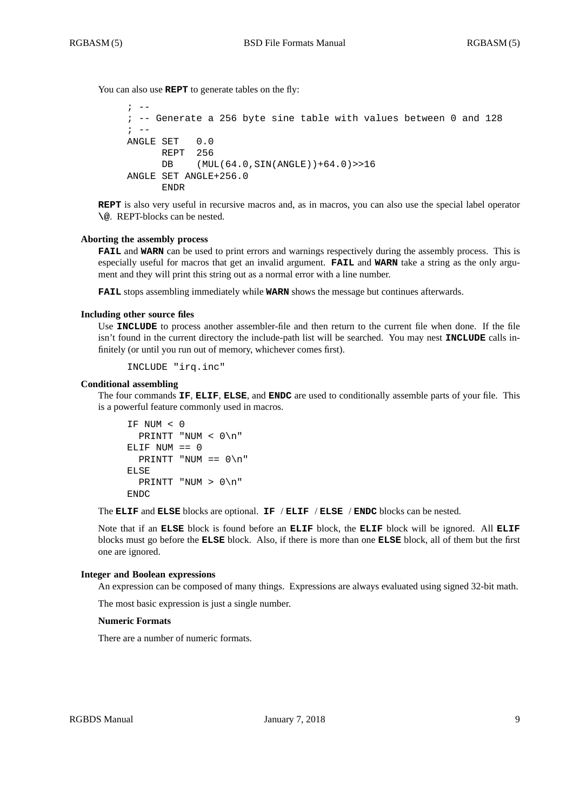You can also use **REPT** to generate tables on the fly:

```
\cdot --
; -- Generate a 256 byte sine table with values between 0 and 128
\mathbf{i} -ANGLE SET 0.0
      REPT 256
      DB (MUL(64.0,SIN(ANGLE))+64.0)>>16
ANGLE SET ANGLE+256.0
      ENDR
```
**REPT** is also very useful in recursive macros and, as in macros, you can also use the special label operator **\@**. REPT-blocks can be nested.

### **Aborting the assembly process**

**FAIL** and **WARN** can be used to print errors and warnings respectively during the assembly process. This is especially useful for macros that get an invalid argument. **FAIL** and **WARN** take a string as the only argument and they will print this string out as a normal error with a line number.

**FAIL** stops assembling immediately while **WARN** shows the message but continues afterwards.

## **Including other source files**

Use **INCLUDE** to process another assembler-file and then return to the current file when done. If the file isn't found in the current directory the include-path list will be searched. You may nest **INCLUDE** calls infinitely (or until you run out of memory, whichever comes first).

```
INCLUDE "irq.inc"
```
### **Conditional assembling**

The four commands **IF**, **ELIF**, **ELSE**, and **ENDC** are used to conditionally assemble parts of your file. This is a powerful feature commonly used in macros.

```
IF NUM < 0
  PRINTT "NUM < 0\n"
ELIF NUM == 0
  PRINTT "NUM == 0 \n\cdot n"
ELSE
  PRINTT "NUM > 0\n"
ENDC
```
The **ELIF** and **ELSE** blocks are optional. **IF** / **ELIF** / **ELSE** / **ENDC** blocks can be nested.

Note that if an **ELSE** block is found before an **ELIF** block, the **ELIF** block will be ignored. All **ELIF** blocks must go before the **ELSE** block. Also, if there is more than one **ELSE** block, all of them but the first one are ignored.

#### **Integer and Boolean expressions**

An expression can be composed of many things. Expressions are always evaluated using signed 32-bit math.

The most basic expression is just a single number.

#### **Numeric Formats**

There are a number of numeric formats.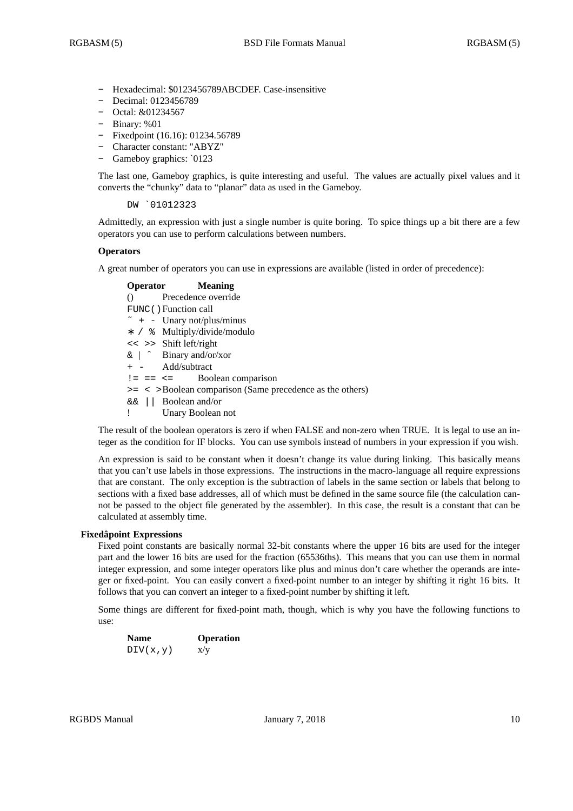- **-** Hexadecimal: \$0123456789ABCDEF. Case-insensitive
- **-** Decimal: 0123456789
- **-** Octal: &01234567
- **-** Binary: %01
- **-** Fixedpoint (16.16): 01234.56789
- **-** Character constant: "ABYZ"
- **-** Gameboy graphics: `0123

The last one, Gameboy graphics, is quite interesting and useful. The values are actually pixel values and it converts the "chunky" data to "planar" data as used in the Gameboy.

DW `01012323

Admittedly, an expression with just a single number is quite boring. To spice things up a bit there are a few operators you can use to perform calculations between numbers.

## **Operators**

A great number of operators you can use in expressions are available (listed in order of precedence):

## **Operator Meaning** () Precedence override FUNC() Function call  $\tilde{\ }$  + - Unary not/plus/minus ∗ / % Multiply/divide/modulo << >> Shift left/right & | ˆ Binary and/or/xor + - Add/subtract  $!=$   $==$   $<=$  Boolean comparison >= < >Boolean comparison (Same precedence as the others) && || Boolean and/or ! Unary Boolean not

The result of the boolean operators is zero if when FALSE and non-zero when TRUE. It is legal to use an integer as the condition for IF blocks. You can use symbols instead of numbers in your expression if you wish.

An expression is said to be constant when it doesn't change its value during linking. This basically means that you can't use labels in those expressions. The instructions in the macro-language all require expressions that are constant. The only exception is the subtraction of labels in the same section or labels that belong to sections with a fixed base addresses, all of which must be defined in the same source file (the calculation cannot be passed to the object file generated by the assembler). In this case, the result is a constant that can be calculated at assembly time.

## **Fixedâpoint Expressions**

Fixed point constants are basically normal 32-bit constants where the upper 16 bits are used for the integer part and the lower 16 bits are used for the fraction (65536ths). This means that you can use them in normal integer expression, and some integer operators like plus and minus don't care whether the operands are integer or fixed-point. You can easily convert a fixed-point number to an integer by shifting it right 16 bits. It follows that you can convert an integer to a fixed-point number by shifting it left.

Some things are different for fixed-point math, though, which is why you have the following functions to use:

| <b>Name</b> | <b>Operation</b> |
|-------------|------------------|
| DIV(x,y)    | x/y              |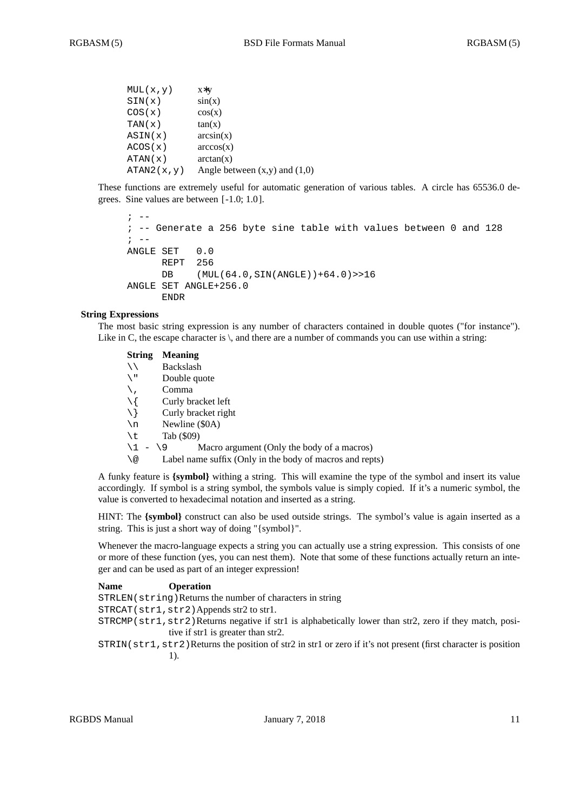```
MUL(x,y) x∗y
SIN(x) sin(x)\cos(x) \cos(x)TAN(x) tan(x)ASIN(x) arcsin(x)
ACOS(x) arccos(x)
ATAN(x) arctan(x)
ATAN2(x, y) Angle between (x,y) and (1,0)
```
These functions are extremely useful for automatic generation of various tables. A circle has 65536.0 degrees. Sine values are between [ -1.0; 1.0 ].

```
\mathbf{r} \mathbf{r} \mathbf{r}; -- Generate a 256 byte sine table with values between 0 and 128
\mathbf{i} \quad -ANGLE SET 0.0
       REPT 256
       DB (MUL(64.0,SIN(ANGLE))+64.0)>>16
ANGLE SET ANGLE+256.0
       ENDR
```
## **String Expressions**

The most basic string expression is any number of characters contained in double quotes ("for instance"). Like in C, the escape character is  $\setminus$ , and there are a number of commands you can use within a string:

| <b>String</b>    | <b>Meaning</b>                                           |
|------------------|----------------------------------------------------------|
| ヽヽ               | Backslash                                                |
| $\sqrt{1}$       | Double quote                                             |
|                  | Comma                                                    |
| $\setminus$ {    | Curly bracket left                                       |
| $\setminus$ }    | Curly bracket right                                      |
| $\n\backslash$ n | Newline (\$0A)                                           |
| \t               | Tab (\$09)                                               |
| $\backslash$ 1   | Macro argument (Only the body of a macros)<br>$-19$      |
| \@               | Label name suffix (Only in the body of macros and repts) |
|                  |                                                          |

A funky feature is **{symbol}** withing a string. This will examine the type of the symbol and insert its value accordingly. If symbol is a string symbol, the symbols value is simply copied. If it's a numeric symbol, the value is converted to hexadecimal notation and inserted as a string.

HINT: The {symbol} construct can also be used outside strings. The symbol's value is again inserted as a string. This is just a short way of doing "{symbol}".

Whenever the macro-language expects a string you can actually use a string expression. This consists of one or more of these function (yes, you can nest them). Note that some of these functions actually return an integer and can be used as part of an integer expression!

| <b>Name</b> | <b>Operation</b>                                                                                          |
|-------------|-----------------------------------------------------------------------------------------------------------|
|             | STRLEN(string) Returns the number of characters in string                                                 |
|             | $STRCAT(str1, str2)$ Appends str2 to str1.                                                                |
|             | STRCMP (str1, str2) Returns negative if str1 is alphabetically lower than str2, zero if they match, posi- |

tive if str1 is greater than str2. STRIN(str1,str2)Returns the position of str2 in str1 or zero if it's not present (first character is position 1).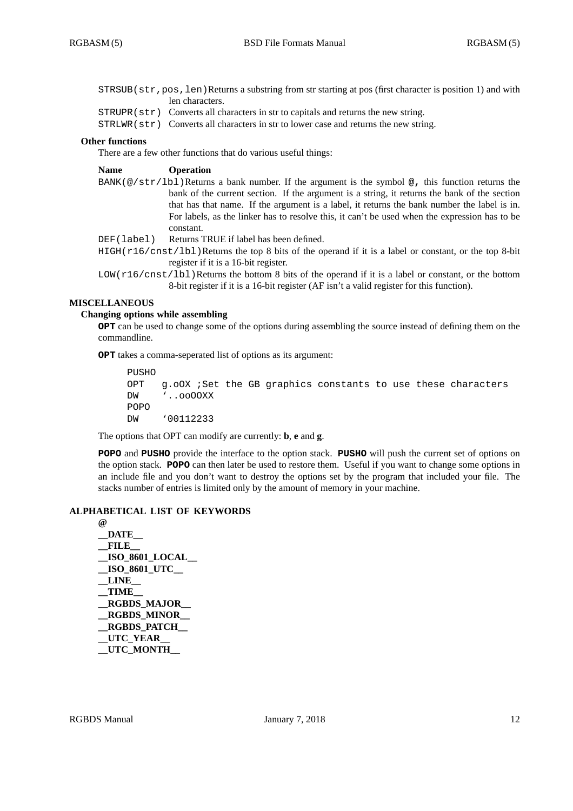STRSUB(str,pos,len)Returns a substring from str starting at pos (first character is position 1) and with len characters.

- $STRUPR( $\text{str}$ )$  Converts all characters in str to capitals and returns the new string.
- STRLWR(str) Converts all characters in str to lower case and returns the new string.

### **Other functions**

There are a few other functions that do various useful things:

#### **Name Operation**

- BANK(@/str/lbl)Returns a bank number. If the argument is the symbol **@,** this function returns the bank of the current section. If the argument is a string, it returns the bank of the section that has that name. If the argument is a label, it returns the bank number the label is in. For labels, as the linker has to resolve this, it can't be used when the expression has to be constant.
- DEF(label) Returns TRUE if label has been defined.
- $HIGH(r16/cnst/lbl)$ Returns the top 8 bits of the operand if it is a label or constant, or the top 8-bit register if it is a 16-bit register.
- LOW(r16/cnst/lbl)Returns the bottom 8 bits of the operand if it is a label or constant, or the bottom 8-bit register if it is a 16-bit register (AF isn't a valid register for this function).

## **MISCELLANEOUS**

## **Changing options while assembling**

**OPT** can be used to change some of the options during assembling the source instead of defining them on the commandline.

**OPT** takes a comma-seperated list of options as its argument:

PUSHO OPT g.oOX ;Set the GB graphics constants to use these characters DW '..ooOOXX POPO DW '00112233

The options that OPT can modify are currently: **b**, **e** and **g**.

**POPO** and **PUSHO** provide the interface to the option stack. **PUSHO** will push the current set of options on the option stack. **POPO** can then later be used to restore them. Useful if you want to change some options in an include file and you don't want to destroy the options set by the program that included your file. The stacks number of entries is limited only by the amount of memory in your machine.

## **ALPHABETICAL LIST OF KEYWORDS**

**@ \_\_DATE\_\_ \_\_FILE\_\_ \_\_ISO\_8601\_LOCAL\_\_ \_\_ISO\_8601\_UTC\_\_ \_\_LINE\_\_ \_\_TIME\_\_ \_\_RGBDS\_MAJOR\_\_ \_\_RGBDS\_MINOR\_\_ \_\_RGBDS\_PATCH\_\_ \_\_UTC\_YEAR\_\_ \_\_UTC\_MONTH\_\_**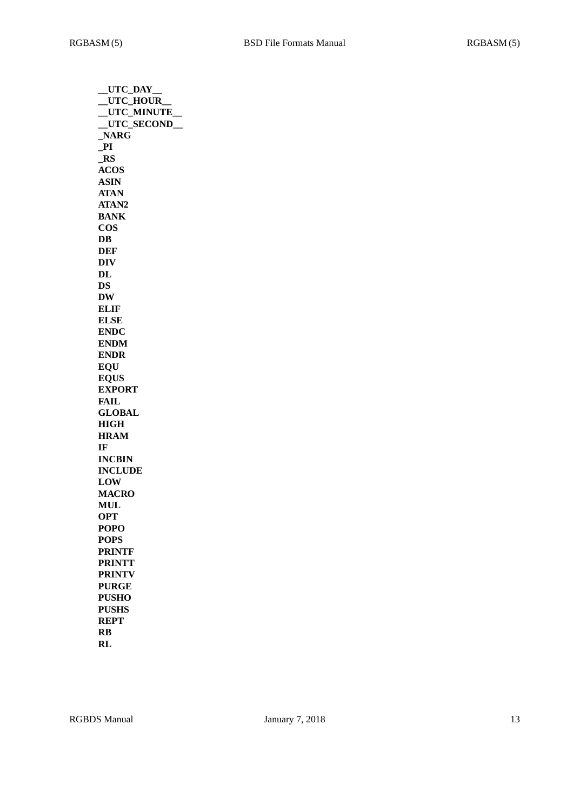| __UTC_DAY      |
|----------------|
| _UTC_HOUR      |
| _UTC_MINUTE_   |
| _UTC_SECOND_   |
| NARG           |
| P1             |
| $\_RS$         |
| <b>ACOS</b>    |
| <b>ASIN</b>    |
| <b>ATAN</b>    |
| ATAN2          |
| <b>BANK</b>    |
| <b>COS</b>     |
| DB             |
| DEF            |
| <b>DIV</b>     |
|                |
| $\bf{DL}$      |
| DS             |
| <b>DW</b>      |
| <b>ELIF</b>    |
| <b>ELSE</b>    |
| <b>ENDC</b>    |
| <b>ENDM</b>    |
| <b>ENDR</b>    |
| <b>EOU</b>     |
| <b>EQUS</b>    |
| <b>EXPORT</b>  |
| FAIL           |
| <b>GLOBAL</b>  |
| <b>HIGH</b>    |
| <b>HRAM</b>    |
| IF             |
| <b>INCBIN</b>  |
| <b>INCLUDE</b> |
| <b>LOW</b>     |
| <b>MACRO</b>   |
| <b>MUL</b>     |
|                |
| <b>OPT</b>     |
| <b>POPO</b>    |
| <b>POPS</b>    |
| <b>PRINTF</b>  |
| <b>PRINTT</b>  |
| <b>PRINTV</b>  |
| <b>PURGE</b>   |
| <b>PUSHO</b>   |
| <b>PUSHS</b>   |
| <b>REPT</b>    |
| RB             |
| RL             |